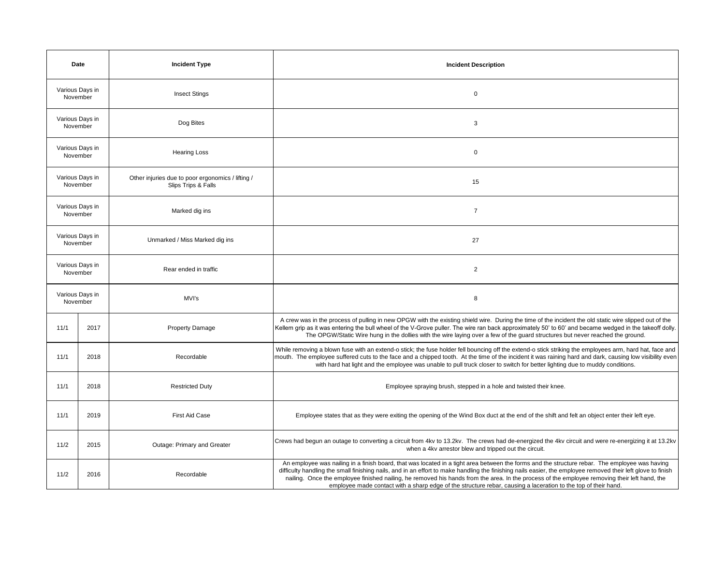| Date                        |      | <b>Incident Type</b>                                                     | <b>Incident Description</b>                                                                                                                                                                                                                                                                                                                                                                                                                                                                                                                                                       |
|-----------------------------|------|--------------------------------------------------------------------------|-----------------------------------------------------------------------------------------------------------------------------------------------------------------------------------------------------------------------------------------------------------------------------------------------------------------------------------------------------------------------------------------------------------------------------------------------------------------------------------------------------------------------------------------------------------------------------------|
| Various Days in<br>November |      | <b>Insect Stings</b>                                                     | $\mathsf 0$                                                                                                                                                                                                                                                                                                                                                                                                                                                                                                                                                                       |
| Various Days in<br>November |      | Dog Bites                                                                | 3                                                                                                                                                                                                                                                                                                                                                                                                                                                                                                                                                                                 |
| Various Days in<br>November |      | <b>Hearing Loss</b>                                                      | $\mathsf 0$                                                                                                                                                                                                                                                                                                                                                                                                                                                                                                                                                                       |
| Various Days in<br>November |      | Other injuries due to poor ergonomics / lifting /<br>Slips Trips & Falls | 15                                                                                                                                                                                                                                                                                                                                                                                                                                                                                                                                                                                |
| Various Days in<br>November |      | Marked dig ins                                                           | $\overline{7}$                                                                                                                                                                                                                                                                                                                                                                                                                                                                                                                                                                    |
| Various Days in<br>November |      | Unmarked / Miss Marked dig ins                                           | 27                                                                                                                                                                                                                                                                                                                                                                                                                                                                                                                                                                                |
| Various Days in<br>November |      | Rear ended in traffic                                                    | $\overline{2}$                                                                                                                                                                                                                                                                                                                                                                                                                                                                                                                                                                    |
| Various Days in<br>November |      | MVI's                                                                    | 8                                                                                                                                                                                                                                                                                                                                                                                                                                                                                                                                                                                 |
| 11/1                        | 2017 | <b>Property Damage</b>                                                   | A crew was in the process of pulling in new OPGW with the existing shield wire. During the time of the incident the old static wire slipped out of the<br>Kellem grip as it was entering the bull wheel of the V-Grove puller. The wire ran back approximately 50' to 60' and became wedged in the takeoff dolly.<br>The OPGW/Static Wire hung in the dollies with the wire laying over a few of the guard structures but never reached the ground.                                                                                                                               |
| 11/1                        | 2018 | Recordable                                                               | While removing a blown fuse with an extend-o stick; the fuse holder fell bouncing off the extend-o stick striking the employees arm, hard hat, face and<br>mouth. The employee suffered cuts to the face and a chipped tooth. At the time of the incident it was raining hard and dark, causing low visibility even<br>with hard hat light and the employee was unable to pull truck closer to switch for better lighting due to muddy conditions.                                                                                                                                |
| 11/1                        | 2018 | <b>Restricted Duty</b>                                                   | Employee spraying brush, stepped in a hole and twisted their knee.                                                                                                                                                                                                                                                                                                                                                                                                                                                                                                                |
| 11/1                        | 2019 | <b>First Aid Case</b>                                                    | Employee states that as they were exiting the opening of the Wind Box duct at the end of the shift and felt an object enter their left eye.                                                                                                                                                                                                                                                                                                                                                                                                                                       |
| 11/2                        | 2015 | Outage: Primary and Greater                                              | Crews had begun an outage to converting a circuit from 4kv to 13.2kv. The crews had de-energized the 4kv circuit and were re-energizing it at 13.2kv<br>when a 4kv arrestor blew and tripped out the circuit.                                                                                                                                                                                                                                                                                                                                                                     |
| 11/2                        | 2016 | Recordable                                                               | An employee was nailing in a finish board, that was located in a tight area between the forms and the structure rebar. The employee was having<br>difficulty handling the small finishing nails, and in an effort to make handling the finishing nails easier, the employee removed their left glove to finish<br>nailing. Once the employee finished nailing, he removed his hands from the area. In the process of the employee removing their left hand, the<br>employee made contact with a sharp edge of the structure rebar, causing a laceration to the top of their hand. |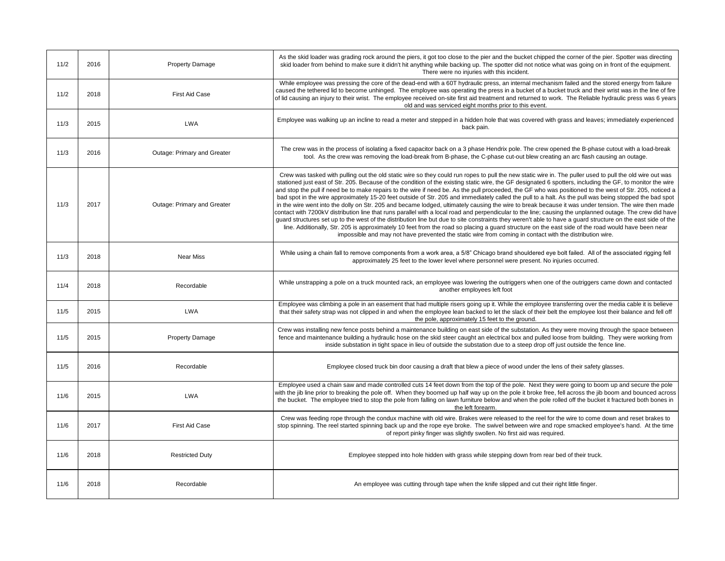| 11/2 | 2016 | <b>Property Damage</b>      | As the skid loader was grading rock around the piers, it got too close to the pier and the bucket chipped the corner of the pier. Spotter was directing<br>skid loader from behind to make sure it didn't hit anything while backing up. The spotter did not notice what was going on in front of the equipment.<br>There were no injuries with this incident.                                                                                                                                                                                                                                                                                                                                                                                                                                                                                                                                                                                                                                                                                                                                                                                                                                                                                                                                                                                                                                        |
|------|------|-----------------------------|-------------------------------------------------------------------------------------------------------------------------------------------------------------------------------------------------------------------------------------------------------------------------------------------------------------------------------------------------------------------------------------------------------------------------------------------------------------------------------------------------------------------------------------------------------------------------------------------------------------------------------------------------------------------------------------------------------------------------------------------------------------------------------------------------------------------------------------------------------------------------------------------------------------------------------------------------------------------------------------------------------------------------------------------------------------------------------------------------------------------------------------------------------------------------------------------------------------------------------------------------------------------------------------------------------------------------------------------------------------------------------------------------------|
| 11/2 | 2018 | First Aid Case              | While employee was pressing the core of the dead-end with a 60T hydraulic press, an internal mechanism failed and the stored energy from failure<br>caused the tethered lid to become unhinged. The employee was operating the press in a bucket of a bucket truck and their wrist was in the line of fire<br>of lid causing an injury to their wrist. The employee received on-site first aid treatment and returned to work. The Reliable hydraulic press was 6 years<br>old and was serviced eight months prior to this event.                                                                                                                                                                                                                                                                                                                                                                                                                                                                                                                                                                                                                                                                                                                                                                                                                                                                     |
| 11/3 | 2015 | <b>LWA</b>                  | Employee was walking up an incline to read a meter and stepped in a hidden hole that was covered with grass and leaves; immediately experienced<br>back pain.                                                                                                                                                                                                                                                                                                                                                                                                                                                                                                                                                                                                                                                                                                                                                                                                                                                                                                                                                                                                                                                                                                                                                                                                                                         |
| 11/3 | 2016 | Outage: Primary and Greater | The crew was in the process of isolating a fixed capacitor back on a 3 phase Hendrix pole. The crew opened the B-phase cutout with a load-break<br>tool. As the crew was removing the load-break from B-phase, the C-phase cut-out blew creating an arc flash causing an outage.                                                                                                                                                                                                                                                                                                                                                                                                                                                                                                                                                                                                                                                                                                                                                                                                                                                                                                                                                                                                                                                                                                                      |
| 11/3 | 2017 | Outage: Primary and Greater | Crew was tasked with pulling out the old static wire so they could run ropes to pull the new static wire in. The puller used to pull the old wire out was<br>stationed just east of Str. 205. Because of the condition of the existing static wire, the GF designated 6 spotters, including the GF, to monitor the wire<br>and stop the pull if need be to make repairs to the wire if need be. As the pull proceeded, the GF who was positioned to the west of Str. 205, noticed a<br>bad spot in the wire approximately 15-20 feet outside of Str. 205 and immediately called the pull to a halt. As the pull was being stopped the bad spot<br>in the wire went into the dolly on Str. 205 and became lodged, ultimately causing the wire to break because it was under tension. The wire then made<br>contact with 7200kV distribution line that runs parallel with a local road and perpendicular to the line; causing the unplanned outage. The crew did have<br>guard structures set up to the west of the distribution line but due to site constraints they weren't able to have a guard structure on the east side of the<br>line. Additionally, Str. 205 is approximately 10 feet from the road so placing a guard structure on the east side of the road would have been near<br>impossible and may not have prevented the static wire from coming in contact with the distribution wire. |
| 11/3 | 2018 | <b>Near Miss</b>            | While using a chain fall to remove components from a work area, a 5/8" Chicago brand shouldered eye bolt failed. All of the associated rigging fell<br>approximately 25 feet to the lower level where personnel were present. No injuries occurred.                                                                                                                                                                                                                                                                                                                                                                                                                                                                                                                                                                                                                                                                                                                                                                                                                                                                                                                                                                                                                                                                                                                                                   |
| 11/4 | 2018 | Recordable                  | While unstrapping a pole on a truck mounted rack, an employee was lowering the outriggers when one of the outriggers came down and contacted<br>another employees left foot                                                                                                                                                                                                                                                                                                                                                                                                                                                                                                                                                                                                                                                                                                                                                                                                                                                                                                                                                                                                                                                                                                                                                                                                                           |
| 11/5 | 2015 | <b>LWA</b>                  | Employee was climbing a pole in an easement that had multiple risers going up it. While the employee transferring over the media cable it is believe<br>that their safety strap was not clipped in and when the employee lean backed to let the slack of their belt the employee lost their balance and fell off<br>the pole, approximately 15 feet to the ground.                                                                                                                                                                                                                                                                                                                                                                                                                                                                                                                                                                                                                                                                                                                                                                                                                                                                                                                                                                                                                                    |
| 11/5 | 2015 | <b>Property Damage</b>      | Crew was installing new fence posts behind a maintenance building on east side of the substation. As they were moving through the space between<br>fence and maintenance building a hydraulic hose on the skid steer caught an electrical box and pulled loose from building. They were working from<br>inside substation in tight space in lieu of outside the substation due to a steep drop off just outside the fence line.                                                                                                                                                                                                                                                                                                                                                                                                                                                                                                                                                                                                                                                                                                                                                                                                                                                                                                                                                                       |
| 11/5 | 2016 | Recordable                  | Employee closed truck bin door causing a draft that blew a piece of wood under the lens of their safety glasses.                                                                                                                                                                                                                                                                                                                                                                                                                                                                                                                                                                                                                                                                                                                                                                                                                                                                                                                                                                                                                                                                                                                                                                                                                                                                                      |
| 11/6 | 2015 | <b>LWA</b>                  | Employee used a chain saw and made controlled cuts 14 feet down from the top of the pole. Next they were going to boom up and secure the pole<br>with the jib line prior to breaking the pole off. When they boomed up half way up on the pole it broke free, fell across the jib boom and bounced across<br>the bucket. The employee tried to stop the pole from falling on lawn furniture below and when the pole rolled off the bucket it fractured both bones in<br>the left forearm.                                                                                                                                                                                                                                                                                                                                                                                                                                                                                                                                                                                                                                                                                                                                                                                                                                                                                                             |
| 11/6 | 2017 | <b>First Aid Case</b>       | Crew was feeding rope through the condux machine with old wire. Brakes were released to the reel for the wire to come down and reset brakes to<br>stop spinning. The reel started spinning back up and the rope eye broke. The swivel between wire and rope smacked employee's hand. At the time<br>of report pinky finger was slightly swollen. No first aid was required.                                                                                                                                                                                                                                                                                                                                                                                                                                                                                                                                                                                                                                                                                                                                                                                                                                                                                                                                                                                                                           |
| 11/6 | 2018 | <b>Restricted Duty</b>      | Employee stepped into hole hidden with grass while stepping down from rear bed of their truck.                                                                                                                                                                                                                                                                                                                                                                                                                                                                                                                                                                                                                                                                                                                                                                                                                                                                                                                                                                                                                                                                                                                                                                                                                                                                                                        |
| 11/6 | 2018 | Recordable                  | An employee was cutting through tape when the knife slipped and cut their right little finger.                                                                                                                                                                                                                                                                                                                                                                                                                                                                                                                                                                                                                                                                                                                                                                                                                                                                                                                                                                                                                                                                                                                                                                                                                                                                                                        |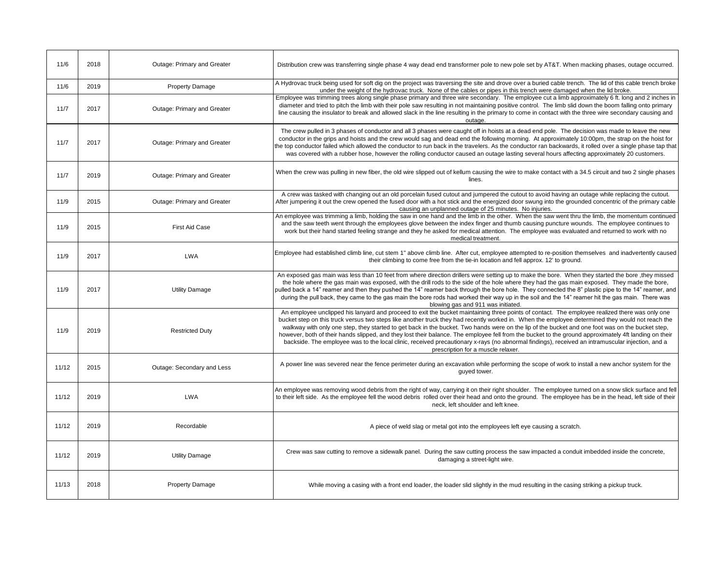| 11/6  | 2018 | Outage: Primary and Greater | Distribution crew was transferring single phase 4 way dead end transformer pole to new pole set by AT&T. When macking phases, outage occurred.                                                                                                                                                                                                                                                                                                                                                                                                                                                                                                                                                                                                                                                            |
|-------|------|-----------------------------|-----------------------------------------------------------------------------------------------------------------------------------------------------------------------------------------------------------------------------------------------------------------------------------------------------------------------------------------------------------------------------------------------------------------------------------------------------------------------------------------------------------------------------------------------------------------------------------------------------------------------------------------------------------------------------------------------------------------------------------------------------------------------------------------------------------|
| 11/6  | 2019 | <b>Property Damage</b>      | A Hydrovac truck being used for soft dig on the project was traversing the site and drove over a buried cable trench. The lid of this cable trench broke<br>under the weight of the hydrovac truck. None of the cables or pipes in this trench were damaged when the lid broke.                                                                                                                                                                                                                                                                                                                                                                                                                                                                                                                           |
| 11/7  | 2017 | Outage: Primary and Greater | Employee was trimming trees along single phase primary and three wire secondary. The employee cut a limb approximately 6 ft. long and 2 inches in<br>diameter and tried to pitch the limb with their pole saw resulting in not maintaining positive control. The limb slid down the boom falling onto primary<br>line causing the insulator to break and allowed slack in the line resulting in the primary to come in contact with the three wire secondary causing and<br>outage.                                                                                                                                                                                                                                                                                                                       |
| 11/7  | 2017 | Outage: Primary and Greater | The crew pulled in 3 phases of conductor and all 3 phases were caught off in hoists at a dead end pole. The decision was made to leave the new<br>conductor in the grips and hoists and the crew would sag and dead end the following morning. At approximately 10:00pm, the strap on the hoist for<br>the top conductor failed which allowed the conductor to run back in the travelers. As the conductor ran backwards, it rolled over a single phase tap that<br>was covered with a rubber hose, however the rolling conductor caused an outage lasting several hours affecting approximately 20 customers.                                                                                                                                                                                            |
| 11/7  | 2019 | Outage: Primary and Greater | When the crew was pulling in new fiber, the old wire slipped out of kellum causing the wire to make contact with a 34.5 circuit and two 2 single phases<br>lines.                                                                                                                                                                                                                                                                                                                                                                                                                                                                                                                                                                                                                                         |
| 11/9  | 2015 | Outage: Primary and Greater | A crew was tasked with changing out an old porcelain fused cutout and jumpered the cutout to avoid having an outage while replacing the cutout.<br>After jumpering it out the crew opened the fused door with a hot stick and the energized door swung into the grounded concentric of the primary cable<br>causing an unplanned outage of 25 minutes. No injuries.                                                                                                                                                                                                                                                                                                                                                                                                                                       |
| 11/9  | 2015 | First Aid Case              | An employee was trimming a limb, holding the saw in one hand and the limb in the other. When the saw went thru the limb, the momentum continued<br>and the saw teeth went through the employees glove between the index finger and thumb causing puncture wounds. The employee continues to<br>work but their hand started feeling strange and they he asked for medical attention. The employee was evaluated and returned to work with no<br>medical treatment.                                                                                                                                                                                                                                                                                                                                         |
| 11/9  | 2017 | <b>LWA</b>                  | Employee had established climb line, cut stem 1" above climb line. After cut, employee attempted to re-position themselves and inadvertently caused<br>their climbing to come free from the tie-in location and fell approx. 12' to ground.                                                                                                                                                                                                                                                                                                                                                                                                                                                                                                                                                               |
| 11/9  | 2017 | <b>Utility Damage</b>       | An exposed gas main was less than 10 feet from where direction drillers were setting up to make the bore. When they started the bore, they missed<br>the hole where the gas main was exposed, with the drill rods to the side of the hole where they had the gas main exposed. They made the bore,<br>pulled back a 14" reamer and then they pushed the 14" reamer back through the bore hole.  They connected the 8" plastic pipe to the 14" reamer, and<br>during the pull back, they came to the gas main the bore rods had worked their way up in the soil and the 14" reamer hit the gas main. There was<br>blowing gas and 911 was initiated.                                                                                                                                                       |
| 11/9  | 2019 | <b>Restricted Duty</b>      | An employee unclipped his lanyard and proceed to exit the bucket maintaining three points of contact. The employee realized there was only one<br>bucket step on this truck versus two steps like another truck they had recently worked in. When the employee determined they would not reach the<br>walkway with only one step, they started to get back in the bucket. Two hands were on the lip of the bucket and one foot was on the bucket step,<br>however, both of their hands slipped, and they lost their balance. The employee fell from the bucket to the ground approximately 4ft landing on their<br>backside. The employee was to the local clinic, received precautionary x-rays (no abnormal findings), received an intramuscular injection, and a<br>prescription for a muscle relaxer. |
| 11/12 | 2015 | Outage: Secondary and Less  | A power line was severed near the fence perimeter during an excavation while performing the scope of work to install a new anchor system for the<br>quyed tower.                                                                                                                                                                                                                                                                                                                                                                                                                                                                                                                                                                                                                                          |
| 11/12 | 2019 | <b>LWA</b>                  | An employee was removing wood debris from the right of way, carrying it on their right shoulder. The employee turned on a snow slick surface and fell<br>to their left side. As the employee fell the wood debris rolled over their head and onto the ground. The employee has be in the head, left side of their<br>neck, left shoulder and left knee.                                                                                                                                                                                                                                                                                                                                                                                                                                                   |
| 11/12 | 2019 | Recordable                  | A piece of weld slag or metal got into the employees left eye causing a scratch.                                                                                                                                                                                                                                                                                                                                                                                                                                                                                                                                                                                                                                                                                                                          |
| 11/12 | 2019 | <b>Utility Damage</b>       | Crew was saw cutting to remove a sidewalk panel. During the saw cutting process the saw impacted a conduit imbedded inside the concrete,<br>damaging a street-light wire.                                                                                                                                                                                                                                                                                                                                                                                                                                                                                                                                                                                                                                 |
| 11/13 | 2018 | <b>Property Damage</b>      | While moving a casing with a front end loader, the loader slid slightly in the mud resulting in the casing striking a pickup truck.                                                                                                                                                                                                                                                                                                                                                                                                                                                                                                                                                                                                                                                                       |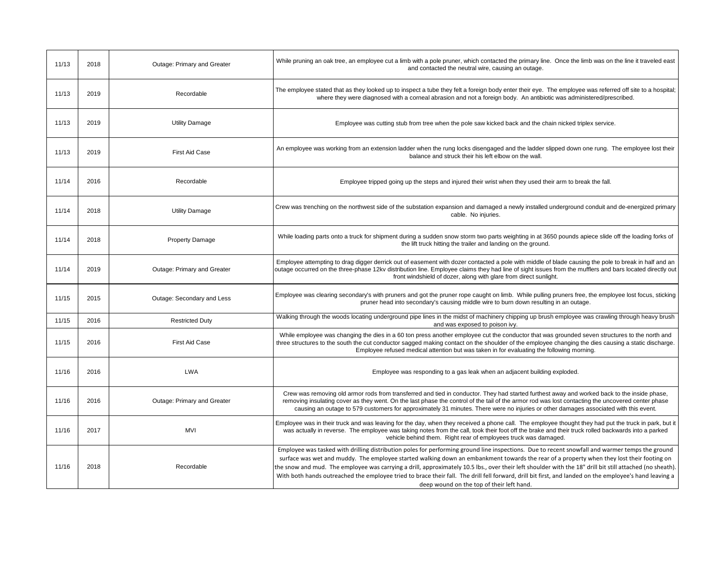| 11/13 | 2018 | Outage: Primary and Greater | While pruning an oak tree, an employee cut a limb with a pole pruner, which contacted the primary line. Once the limb was on the line it traveled east<br>and contacted the neutral wire, causing an outage.                                                                                                                                                                                                                                                                                                                                                                                                                                                      |
|-------|------|-----------------------------|-------------------------------------------------------------------------------------------------------------------------------------------------------------------------------------------------------------------------------------------------------------------------------------------------------------------------------------------------------------------------------------------------------------------------------------------------------------------------------------------------------------------------------------------------------------------------------------------------------------------------------------------------------------------|
| 11/13 | 2019 | Recordable                  | The employee stated that as they looked up to inspect a tube they felt a foreign body enter their eye. The employee was referred off site to a hospital;<br>where they were diagnosed with a corneal abrasion and not a foreign body. An antibiotic was administered/prescribed.                                                                                                                                                                                                                                                                                                                                                                                  |
| 11/13 | 2019 | <b>Utility Damage</b>       | Employee was cutting stub from tree when the pole saw kicked back and the chain nicked triplex service.                                                                                                                                                                                                                                                                                                                                                                                                                                                                                                                                                           |
| 11/13 | 2019 | <b>First Aid Case</b>       | An employee was working from an extension ladder when the rung locks disengaged and the ladder slipped down one rung. The employee lost their<br>balance and struck their his left elbow on the wall.                                                                                                                                                                                                                                                                                                                                                                                                                                                             |
| 11/14 | 2016 | Recordable                  | Employee tripped going up the steps and injured their wrist when they used their arm to break the fall.                                                                                                                                                                                                                                                                                                                                                                                                                                                                                                                                                           |
| 11/14 | 2018 | <b>Utility Damage</b>       | Crew was trenching on the northwest side of the substation expansion and damaged a newly installed underground conduit and de-energized primary<br>cable. No injuries.                                                                                                                                                                                                                                                                                                                                                                                                                                                                                            |
| 11/14 | 2018 | <b>Property Damage</b>      | While loading parts onto a truck for shipment during a sudden snow storm two parts weighting in at 3650 pounds apiece slide off the loading forks of<br>the lift truck hitting the trailer and landing on the ground.                                                                                                                                                                                                                                                                                                                                                                                                                                             |
| 11/14 | 2019 | Outage: Primary and Greater | Employee attempting to drag digger derrick out of easement with dozer contacted a pole with middle of blade causing the pole to break in half and an<br>outage occurred on the three-phase 12kv distribution line. Employee claims they had line of sight issues from the mufflers and bars located directly out<br>front windshield of dozer, along with glare from direct sunlight.                                                                                                                                                                                                                                                                             |
| 11/15 | 2015 | Outage: Secondary and Less  | Employee was clearing secondary's with pruners and got the pruner rope caught on limb. While pulling pruners free, the employee lost focus, sticking<br>pruner head into secondary's causing middle wire to burn down resulting in an outage.                                                                                                                                                                                                                                                                                                                                                                                                                     |
| 11/15 | 2016 | <b>Restricted Duty</b>      | Walking through the woods locating underground pipe lines in the midst of machinery chipping up brush employee was crawling through heavy brush<br>and was exposed to poison ivy.                                                                                                                                                                                                                                                                                                                                                                                                                                                                                 |
| 11/15 | 2016 | <b>First Aid Case</b>       | While employee was changing the dies in a 60 ton press another employee cut the conductor that was grounded seven structures to the north and<br>three structures to the south the cut conductor sagged making contact on the shoulder of the employee changing the dies causing a static discharge.<br>Employee refused medical attention but was taken in for evaluating the following morning.                                                                                                                                                                                                                                                                 |
| 11/16 | 2016 | <b>LWA</b>                  | Employee was responding to a gas leak when an adjacent building exploded.                                                                                                                                                                                                                                                                                                                                                                                                                                                                                                                                                                                         |
| 11/16 | 2016 | Outage: Primary and Greater | Crew was removing old armor rods from transferred and tied in conductor. They had started furthest away and worked back to the inside phase,<br>removing insulating cover as they went. On the last phase the control of the tail of the armor rod was lost contacting the uncovered center phase<br>causing an outage to 579 customers for approximately 31 minutes. There were no injuries or other damages associated with this event.                                                                                                                                                                                                                         |
| 11/16 | 2017 | <b>MVI</b>                  | Employee was in their truck and was leaving for the day, when they received a phone call. The employee thought they had put the truck in park, but it<br>was actually in reverse. The employee was taking notes from the call, took their foot off the brake and their truck rolled backwards into a parked<br>vehicle behind them. Right rear of employees truck was damaged.                                                                                                                                                                                                                                                                                    |
| 11/16 | 2018 | Recordable                  | Employee was tasked with drilling distribution poles for performing ground line inspections. Due to recent snowfall and warmer temps the ground<br>surface was wet and muddy. The employee started walking down an embankment towards the rear of a property when they lost their footing on<br>the snow and mud. The employee was carrying a drill, approximately 10.5 lbs., over their left shoulder with the 18" drill bit still attached (no sheath).<br>With both hands outreached the employee tried to brace their fall. The drill fell forward, drill bit first, and landed on the employee's hand leaving a<br>deep wound on the top of their left hand. |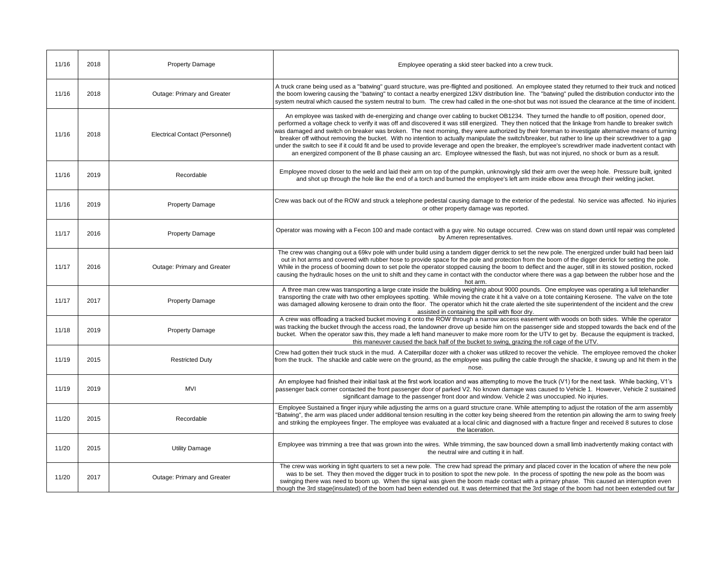| 11/16 | 2018 | <b>Property Damage</b>         | Employee operating a skid steer backed into a crew truck.                                                                                                                                                                                                                                                                                                                                                                                                                                                                                                                                                                                                                                                                                                                                                                                                                                                             |
|-------|------|--------------------------------|-----------------------------------------------------------------------------------------------------------------------------------------------------------------------------------------------------------------------------------------------------------------------------------------------------------------------------------------------------------------------------------------------------------------------------------------------------------------------------------------------------------------------------------------------------------------------------------------------------------------------------------------------------------------------------------------------------------------------------------------------------------------------------------------------------------------------------------------------------------------------------------------------------------------------|
| 11/16 | 2018 | Outage: Primary and Greater    | A truck crane being used as a "batwing" guard structure, was pre-flighted and positioned. An employee stated they returned to their truck and noticed<br>the boom lowering causing the "batwing" to contact a nearby energized 12kV distribution line. The "batwing" pulled the distribution conductor into the<br>system neutral which caused the system neutral to burn. The crew had called in the one-shot but was not issued the clearance at the time of incident.                                                                                                                                                                                                                                                                                                                                                                                                                                              |
| 11/16 | 2018 | Electrical Contact (Personnel) | An employee was tasked with de-energizing and change over cabling to bucket OB1234. They turned the handle to off position, opened door,<br>performed a voltage check to verify it was off and discovered it was still energized. They then noticed that the linkage from handle to breaker switch<br>was damaged and switch on breaker was broken. The next morning, they were authorized by their foreman to investigate alternative means of turning<br>breaker off without removing the bucket. With no intention to actually manipulate the switch/breaker, but rather to line up their screwdriver to a gap<br>under the switch to see if it could fit and be used to provide leverage and open the breaker, the employee's screwdriver made inadvertent contact with<br>an energized component of the B phase causing an arc. Employee witnessed the flash, but was not injured, no shock or burn as a result. |
| 11/16 | 2019 | Recordable                     | Employee moved closer to the weld and laid their arm on top of the pumpkin, unknowingly slid their arm over the weep hole. Pressure built, ignited<br>and shot up through the hole like the end of a torch and burned the employee's left arm inside elbow area through their welding jacket.                                                                                                                                                                                                                                                                                                                                                                                                                                                                                                                                                                                                                         |
| 11/16 | 2019 | <b>Property Damage</b>         | Crew was back out of the ROW and struck a telephone pedestal causing damage to the exterior of the pedestal. No service was affected. No injuries<br>or other property damage was reported.                                                                                                                                                                                                                                                                                                                                                                                                                                                                                                                                                                                                                                                                                                                           |
| 11/17 | 2016 | <b>Property Damage</b>         | Operator was mowing with a Fecon 100 and made contact with a guy wire. No outage occurred. Crew was on stand down until repair was completed<br>by Ameren representatives.                                                                                                                                                                                                                                                                                                                                                                                                                                                                                                                                                                                                                                                                                                                                            |
| 11/17 | 2016 | Outage: Primary and Greater    | The crew was changing out a 69kv pole with under build using a tandem digger derrick to set the new pole. The energized under build had been laid<br>out in hot arms and covered with rubber hose to provide space for the pole and protection from the boom of the digger derrick for setting the pole.<br>While in the process of booming down to set pole the operator stopped causing the boom to deflect and the auger, still in its stowed position, rocked<br>causing the hydraulic hoses on the unit to shift and they came in contact with the conductor where there was a gap between the rubber hose and the<br>hot arm.                                                                                                                                                                                                                                                                                   |
| 11/17 | 2017 | <b>Property Damage</b>         | A three man crew was transporting a large crate inside the building weighing about 9000 pounds. One employee was operating a lull telehandler<br>transporting the crate with two other employees spotting. While moving the crate it hit a valve on a tote containing Kerosene. The valve on the tote<br>was damaged allowing kerosene to drain onto the floor. The operator which hit the crate alerted the site superintendent of the incident and the crew<br>assisted in containing the spill with floor dry.                                                                                                                                                                                                                                                                                                                                                                                                     |
| 11/18 | 2019 | <b>Property Damage</b>         | A crew was offloading a tracked bucket moving it onto the ROW through a narrow access easement with woods on both sides. While the operator<br>was tracking the bucket through the access road, the landowner drove up beside him on the passenger side and stopped towards the back end of the<br>bucket. When the operator saw this, they made a left hand maneuver to make more room for the UTV to get by. Because the equipment is tracked,<br>this maneuver caused the back half of the bucket to swing, grazing the roll cage of the UTV.                                                                                                                                                                                                                                                                                                                                                                      |
| 11/19 | 2015 | <b>Restricted Duty</b>         | Crew had gotten their truck stuck in the mud. A Caterpillar dozer with a choker was utilized to recover the vehicle. The employee removed the choker<br>from the truck. The shackle and cable were on the ground, as the employee was pulling the cable through the shackle, it swung up and hit them in the<br>nose.                                                                                                                                                                                                                                                                                                                                                                                                                                                                                                                                                                                                 |
| 11/19 | 2019 | <b>MVI</b>                     | An employee had finished their initial task at the first work location and was attempting to move the truck (V1) for the next task. While backing, V1's<br>passenger back corner contacted the front passenger door of parked V2. No known damage was caused to Vehicle 1. However, Vehicle 2 sustained<br>significant damage to the passenger front door and window. Vehicle 2 was unoccupied. No injuries.                                                                                                                                                                                                                                                                                                                                                                                                                                                                                                          |
| 11/20 | 2015 | Recordable                     | Employee Sustained a finger injury while adjusting the arms on a guard structure crane. While attempting to adjust the rotation of the arm assembly<br>'Batwing", the arm was placed under additional tension resulting in the cotter key being sheered from the retention pin allowing the arm to swing freely<br>and striking the employees finger. The employee was evaluated at a local clinic and diagnosed with a fracture finger and received 8 sutures to close<br>the laceration.                                                                                                                                                                                                                                                                                                                                                                                                                            |
| 11/20 | 2015 | <b>Utility Damage</b>          | Employee was trimming a tree that was grown into the wires. While trimming, the saw bounced down a small limb inadvertently making contact with<br>the neutral wire and cutting it in half.                                                                                                                                                                                                                                                                                                                                                                                                                                                                                                                                                                                                                                                                                                                           |
| 11/20 | 2017 | Outage: Primary and Greater    | The crew was working in tight quarters to set a new pole. The crew had spread the primary and placed cover in the location of where the new pole<br>was to be set. They then moved the digger truck in to position to spot the new pole. In the process of spotting the new pole as the boom was<br>swinging there was need to boom up. When the signal was given the boom made contact with a primary phase. This caused an interruption even<br>though the 3rd stage(insulated) of the boom had been extended out. It was determined that the 3rd stage of the boom had not been extended out far                                                                                                                                                                                                                                                                                                                   |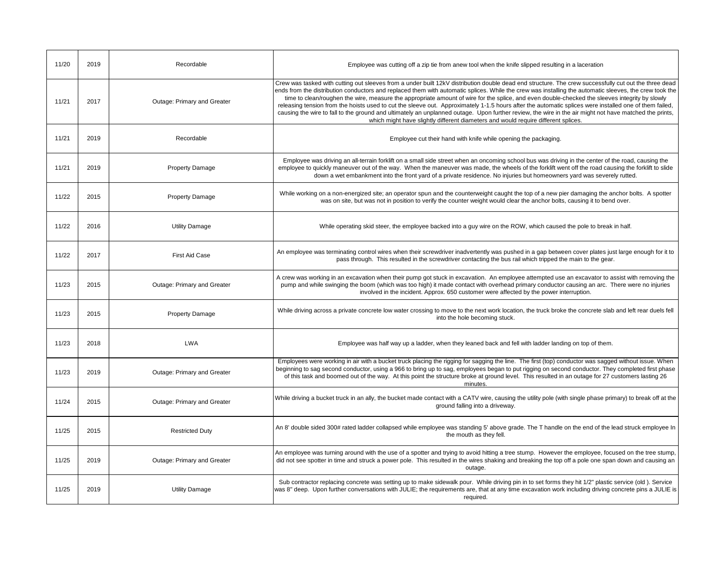| 11/20 | 2019 | Recordable                  | Employee was cutting off a zip tie from anew tool when the knife slipped resulting in a laceration                                                                                                                                                                                                                                                                                                                                                                                                                                                                                                                                                                                                                                                                                                                                                                          |
|-------|------|-----------------------------|-----------------------------------------------------------------------------------------------------------------------------------------------------------------------------------------------------------------------------------------------------------------------------------------------------------------------------------------------------------------------------------------------------------------------------------------------------------------------------------------------------------------------------------------------------------------------------------------------------------------------------------------------------------------------------------------------------------------------------------------------------------------------------------------------------------------------------------------------------------------------------|
| 11/21 | 2017 | Outage: Primary and Greater | Crew was tasked with cutting out sleeves from a under built 12kV distribution double dead end structure. The crew successfully cut out the three dead<br>ends from the distribution conductors and replaced them with automatic splices. While the crew was installing the automatic sleeves, the crew took the<br>time to clean/roughen the wire, measure the appropriate amount of wire for the splice, and even double-checked the sleeves integrity by slowly<br>releasing tension from the hoists used to cut the sleeve out. Approximately 1-1.5 hours after the automatic splices were installed one of them failed,<br>causing the wire to fall to the ground and ultimately an unplanned outage. Upon further review, the wire in the air might not have matched the prints,<br>which might have slightly different diameters and would require different splices. |
| 11/21 | 2019 | Recordable                  | Employee cut their hand with knife while opening the packaging.                                                                                                                                                                                                                                                                                                                                                                                                                                                                                                                                                                                                                                                                                                                                                                                                             |
| 11/21 | 2019 | <b>Property Damage</b>      | Employee was driving an all-terrain forklift on a small side street when an oncoming school bus was driving in the center of the road, causing the<br>employee to quickly maneuver out of the way. When the maneuver was made, the wheels of the forklift went off the road causing the forklift to slide<br>down a wet embankment into the front yard of a private residence. No injuries but homeowners yard was severely rutted.                                                                                                                                                                                                                                                                                                                                                                                                                                         |
| 11/22 | 2015 | <b>Property Damage</b>      | While working on a non-energized site; an operator spun and the counterweight caught the top of a new pier damaging the anchor bolts. A spotter<br>was on site, but was not in position to verify the counter weight would clear the anchor bolts, causing it to bend over.                                                                                                                                                                                                                                                                                                                                                                                                                                                                                                                                                                                                 |
| 11/22 | 2016 | <b>Utility Damage</b>       | While operating skid steer, the employee backed into a guy wire on the ROW, which caused the pole to break in half.                                                                                                                                                                                                                                                                                                                                                                                                                                                                                                                                                                                                                                                                                                                                                         |
| 11/22 | 2017 | <b>First Aid Case</b>       | An employee was terminating control wires when their screwdriver inadvertently was pushed in a gap between cover plates just large enough for it to<br>pass through. This resulted in the screwdriver contacting the bus rail which tripped the main to the gear.                                                                                                                                                                                                                                                                                                                                                                                                                                                                                                                                                                                                           |
| 11/23 | 2015 | Outage: Primary and Greater | A crew was working in an excavation when their pump got stuck in excavation. An employee attempted use an excavator to assist with removing the<br>pump and while swinging the boom (which was too high) it made contact with overhead primary conductor causing an arc. There were no injuries<br>involved in the incident. Approx. 650 customer were affected by the power interruption.                                                                                                                                                                                                                                                                                                                                                                                                                                                                                  |
| 11/23 | 2015 | <b>Property Damage</b>      | While driving across a private concrete low water crossing to move to the next work location, the truck broke the concrete slab and left rear duels fell<br>into the hole becoming stuck.                                                                                                                                                                                                                                                                                                                                                                                                                                                                                                                                                                                                                                                                                   |
| 11/23 | 2018 | <b>LWA</b>                  | Employee was half way up a ladder, when they leaned back and fell with ladder landing on top of them.                                                                                                                                                                                                                                                                                                                                                                                                                                                                                                                                                                                                                                                                                                                                                                       |
| 11/23 | 2019 | Outage: Primary and Greater | Employees were working in air with a bucket truck placing the rigging for sagging the line. The first (top) conductor was sagged without issue. When<br>beginning to sag second conductor, using a 966 to bring up to sag, employees began to put rigging on second conductor. They completed first phase<br>of this task and boomed out of the way. At this point the structure broke at ground level. This resulted in an outage for 27 customers lasting 26<br>minutes.                                                                                                                                                                                                                                                                                                                                                                                                  |
| 11/24 | 2015 | Outage: Primary and Greater | While driving a bucket truck in an ally, the bucket made contact with a CATV wire, causing the utility pole (with single phase primary) to break off at the<br>ground falling into a driveway.                                                                                                                                                                                                                                                                                                                                                                                                                                                                                                                                                                                                                                                                              |
| 11/25 | 2015 | <b>Restricted Duty</b>      | An 8' double sided 300# rated ladder collapsed while employee was standing 5' above grade. The T handle on the end of the lead struck employee In<br>the mouth as they fell.                                                                                                                                                                                                                                                                                                                                                                                                                                                                                                                                                                                                                                                                                                |
| 11/25 | 2019 | Outage: Primary and Greater | An employee was turning around with the use of a spotter and trying to avoid hitting a tree stump. However the employee, focused on the tree stump,<br>did not see spotter in time and struck a power pole. This resulted in the wires shaking and breaking the top off a pole one span down and causing an<br>outage.                                                                                                                                                                                                                                                                                                                                                                                                                                                                                                                                                      |
| 11/25 | 2019 | <b>Utility Damage</b>       | Sub contractor replacing concrete was setting up to make sidewalk pour. While driving pin in to set forms they hit 1/2" plastic service (old). Service<br>was 8" deep. Upon further conversations with JULIE; the requirements are, that at any time excavation work including driving concrete pins a JULIE is<br>required.                                                                                                                                                                                                                                                                                                                                                                                                                                                                                                                                                |